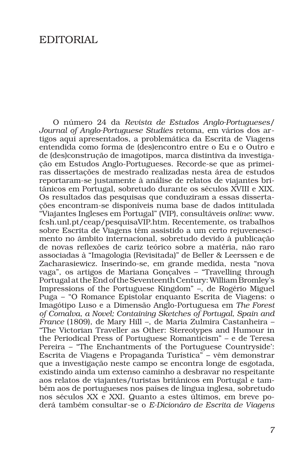## EDITORIAL

O número 24 da *Revista de Estudos Anglo-Portugueses/ Journal of Anglo-Portuguese Studies* retoma, em vários dos artigos aqui apresentados, a problemática da Escrita de Viagens entendida como forma de (des)encontro entre o Eu e o Outro e de (des)construção de imagotipos, marca distintiva da investigação em Estudos Anglo-Portugueses. Recorde-se que as primeiras dissertações de mestrado realizadas nesta área de estudos reportaram-se justamente à análise de relatos de viajantes britânicos em Portugal, sobretudo durante os séculos XVIII e XIX. Os resultados das pesquisas que conduziram a essas dissertações encontram-se disponíveis numa base de dados intitulada "Viajantes Ingleses em Portugal" (VIP), consultáveis *online*: www. fcsh.unl.pt/ceap/pesquisaVIP.htm. Recentemente, os trabalhos sobre Escrita de Viagens têm assistido a um certo rejuvenescimento no âmbito internacional, sobretudo devido à publicação de novas reflexões de cariz teórico sobre a matéria, não raro associadas à "Imagologia (Revisitada)" de Beller & Leerssen e de Zacharasiewicz. Inserindo-se, em grande medida, nesta "nova vaga", os artigos de Mariana Gonçalves – "Travelling through Portugal at the End of the Seventeenth Century: William Bromley's Impressions of the Portuguese Kingdom" –, de Rogério Miguel Puga – "O Romance Epistolar enquanto Escrita de Viagens: o Imagótipo Luso e a Dimensão Anglo-Portuguesa em *The Forest of Comalva, a Novel; Containing Sketches of Portugal, Spain and France* (1809), de Mary Hill –, de Maria Zulmira Castanheira – "The Victorian Traveller as Other: Stereotypes and Humour in the Periodical Press of Portuguese Romanticism" – e de Teresa Pereira – "The Enchantments of the Portuguese Countryside': Escrita de Viagens e Propaganda Turística" – vêm demonstrar que a investigação neste campo se encontra longe de esgotada, existindo ainda um extenso caminho a desbravar no respeitante aos relatos de viajantes/turistas britânicos em Portugal e também aos de portugueses nos países de língua inglesa, sobretudo nos séculos XX e XXI. Quanto a estes últimos, em breve poderá também consultar-se o *E-Dicionáro de Escrita de Viagens*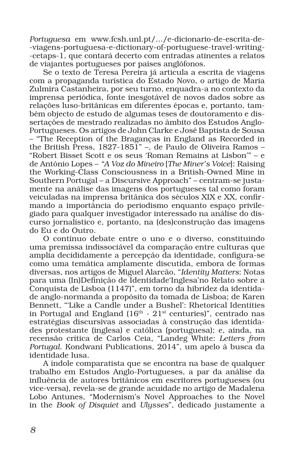*Portuguesa* em www.fcsh.unl.pt/.../e-dicionario-de-escrita-de- -viagens-portuguesa-e-dictionary-of-portuguese-travel-writing- -cetaps-1, que contará decerto com entradas atinentes a relatos de viajantes portugueses por países anglófonos.

Se o texto de Teresa Pereira já articula a escrita de viagens com a propaganda turística do Estado Novo, o artigo de Maria Zulmira Castanheira, por seu turno, enquadra-a no contexto da imprensa periódica, fonte inesgotável de novos dados sobre as relações luso-britânicas em diferentes épocas e, portanto, também objecto de estudo de algumas teses de doutoramento e dissertações de mestrado realizadas no âmbito dos Estudos Anglo-Portugueses. Os artigos de John Clarke e José Baptista de Sousa – "The Reception of the Braganças in England as Recorded in the British Press, 1827-1851" –, de Paulo de Oliveira Ramos – "Robert Bisset Scott e os seus 'Roman Remains at Lisbon'" – e de António Lopes – *"A Voz do Mineiro* [*The Miner's Voice*]: Raising the Working-Class Consciousness in a British-Owned Mine in Southern Portugal – a Discursive Approach" – centram-se justamente na análise das imagens dos portugueses tal como foram veiculadas na imprensa britânica dos séculos XIX e XX, confirmando a importância do periodismo enquanto espaço privilegiado para qualquer investigador interessado na análise do discurso jornalístico e, portanto, na (des)construção das imagens do Eu e do Outro.

O contínuo debate entre o uno e o diverso, constituindo uma premissa indissociável da comparação entre culturas que amplia decididamente a percepção da identidade, configura-se como uma temática amplamente discutida, embora de formas diversas, nos artigos de Miguel Alarcão, "*Identity Matters*: Notas para uma (In)Definição de Identidade'Inglesa'no Relato sobre a Conquista de Lisboa (1147)", em torno da hibridez da identidade anglo-normanda a propósito da tomada de Lisboa; de Karen Bennett, "'Like a Candle under a Bushel': Rhetorical Identities in Portugal and England  $(16<sup>th</sup> - 21<sup>st</sup>$  centuries)", centrado nas estratégias discursivas associadas à construção das identidades protestante (inglesa) e católica (portuguesa); e, ainda, na recensão crítica de Carlos Ceia, "Landeg White: *Letters from Portugal*. Kondwani Publications, 2014", um apelo à busca da identidade lusa.

A índole comparatista que se encontra na base de qualquer trabalho em Estudos Anglo-Portugueses, a par da análise da influência de autores britânicos em escritores portugueses (ou vice-versa), revela-se de grande acuidade no artigo de Madalena Lobo Antunes, "Modernism's Novel Approaches to the Novel in the *Book of Disquiet* and *Ulysses*", dedicado justamente a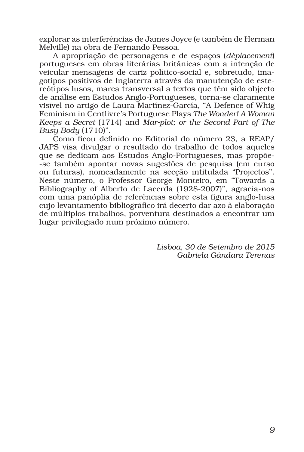explorar as interferências de James Joyce (e também de Herman Melville) na obra de Fernando Pessoa.

A apropriação de personagens e de espaços (*déplacement*) portugueses em obras literárias britânicas com a intenção de veicular mensagens de cariz político-social e, sobretudo, imagotipos positivos de Inglaterra através da manutenção de estereótipos lusos, marca transversal a textos que têm sido objecto de análise em Estudos Anglo-Portugueses, torna-se claramente visível no artigo de Laura Martínez-García, "A Defence of Whig Feminism in Centlivre's Portuguese Plays *The Wonder! A Woman Keeps a Secret* (1714) and *Mar-plot; or the Second Part of The Busy Body* (1710)".

Como ficou definido no Editorial do número 23, a REAP/ JAPS visa divulgar o resultado do trabalho de todos aqueles que se dedicam aos Estudos Anglo-Portugueses, mas propõe- -se também apontar novas sugestões de pesquisa (em curso ou futuras), nomeadamente na secção intitulada "Projectos". Neste número, o Professor George Monteiro, em "Towards a Bibliography of Alberto de Lacerda (1928-2007)", agracia-nos com uma panóplia de referências sobre esta figura anglo-lusa cujo levantamento bibliográfico irá decerto dar azo à elaboração de múltiplos trabalhos, porventura destinados a encontrar um lugar privilegiado num próximo número.

> *Lisboa, 30 de Setembro de 2015 Gabriela Gândara Terenas*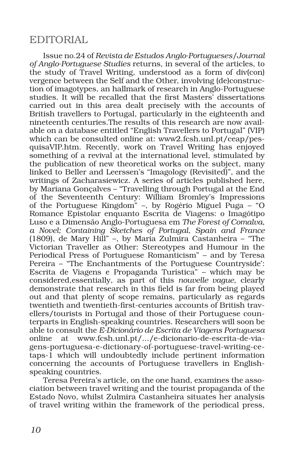## EDITORIAL

Issue no.24 of *Revista de Estudos Anglo-Portugueses/Journal of Anglo-Portuguese Studies* returns, in several of the articles, to the study of Travel Writing, understood as a form of div(con) vergence between the Self and the Other, involving (de)construction of imagotypes, an hallmark of research in Anglo-Portuguese studies. It will be recalled that the first Masters' dissertations carried out in this area dealt precisely with the accounts of British travellers to Portugal, particularly in the eighteenth and nineteenth centuries.The results of this research are now available on a database entitled "English Travellers to Portugal" (VIP) which can be consulted online at: www2.fcsh.unl.pt/ceap/pesquisaVIP.htm. Recently, work on Travel Writing has enjoyed something of a revival at the international level, stimulated by the publication of new theoretical works on the subject, many linked to Beller and Leerssen's "Imagology (Revisited)", and the writings of Zacharasiewicz. A series of articles published here, by Mariana Gonçalves – "Travelling through Portugal at the End of the Seventeenth Century: William Bromley's Impressions of the Portuguese Kingdom" –, by Rogério Miguel Puga – "O Romance Epistolar enquanto Escrita de Viagens: o Imagótipo Luso e a Dimensão Anglo-Portuguesa em *The Forest of Comalva, a Novel; Containing Sketches of Portugal, Spain and France*  (1809), de Mary Hill" –, by Maria Zulmira Castanheira – "The Victorian Traveller as Other: Stereotypes and Humour in the Periodical Press of Portuguese Romanticism" – and by Teresa Pereira – "The Enchantments of the Portuguese Countryside': Escrita de Viagens e Propaganda Turística" – which may be considered,essentially, as part of this *nouvelle vague*, clearly demonstrate that research in this field is far from being played out and that plenty of scope remains, particularly as regards twentieth and twentieth-first-centuries accounts of British travellers/tourists in Portugal and those of their Portuguese counterparts in English-speaking countries. Researchers will soon be able to consult the *E-Dicionário de Escrita de Viagens Portuguesa*  online at www.fcsh.unl.pt/.../e-dicionario-de-escrita-de-viagens-portuguesa-e-dictionary-of-portuguese-travel-writing-cetaps-1 which will undoubtedly include pertinent information concerning the accounts of Portuguese travellers in Englishspeaking countries.

Teresa Pereira's article, on the one hand, examines the association between travel writing and the tourist propaganda of the Estado Novo, whilst Zulmira Castanheira situates her analysis of travel writing within the framework of the periodical press,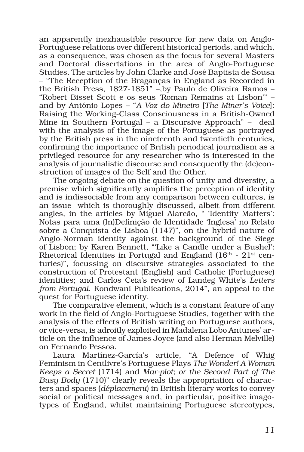an apparently inexhaustible resource for new data on Anglo-Portuguese relations over different historical periods, and which, as a consequence, was chosen as the focus for several Masters and Doctoral dissertations in the area of Anglo-Portuguese Studies. The articles by John Clarke and José Baptista de Sousa – "The Reception of the Braganças in England as Recorded in the British Press, 1827-1851" –,by Paulo de Oliveira Ramos – "Robert Bisset Scott e os seus 'Roman Remains at Lisbon'" – and by António Lopes – "*A Voz do Mineiro* [*The Miner's Voice*]: Raising the Working-Class Consciousness in a British-Owned Mine in Southern Portugal – a Discursive Approach" – deal with the analysis of the image of the Portuguese as portrayed by the British press in the nineteenth and twentieth centuries, confirming the importance of British periodical journalism as a privileged resource for any researcher who is interested in the analysis of journalistic discourse and consequently the (de)construction of images of the Self and the Other.

The ongoing debate on the question of unity and diversity, a premise which significantly amplifies the perception of identity and is indissociable from any comparison between cultures, is an issue which is thoroughly discussed, albeit from different angles, in the articles by Miguel Alarcão, " 'Identity Matters': Notas para uma (In)Definição de Identidade 'Inglesa' no Relato sobre a Conquista de Lisboa (1147)", on the hybrid nature of Anglo-Norman identity against the background of the Siege of Lisbon; by Karen Bennett, "'Like a Candle under a Bushel': Rhetorical Identities in Portugal and England  $(16<sup>th</sup> - 21<sup>st</sup>$  centuries)", focussing on discursive strategies associated to the construction of Protestant (English) and Catholic (Portuguese) identities; and Carlos Ceia's review of Landeg White's *Letters from Portugal*. Kondwani Publications, 2014", an appeal to the quest for Portuguese identity.

The comparative element, which is a constant feature of any work in the field of Anglo-Portuguese Studies, together with the analysis of the effects of British writing on Portuguese authors, or vice-versa, is adroitly exploited in Madalena Lobo Antunes' article on the influence of James Joyce (and also Herman Melville) on Fernando Pessoa.

Laura Martínez-García's article, "A Defence of Whig Feminism in Centlivre's Portuguese Plays *The Wonder! A Woman Keeps a Secret* (1714) and *Mar-plot; or the Second Part of The Busy Body* (1710)" clearly reveals the appropriation of characters and spaces (*déplacement*) in British literary works to convey social or political messages and, in particular, positive imagotypes of England, whilst maintaining Portuguese stereotypes,